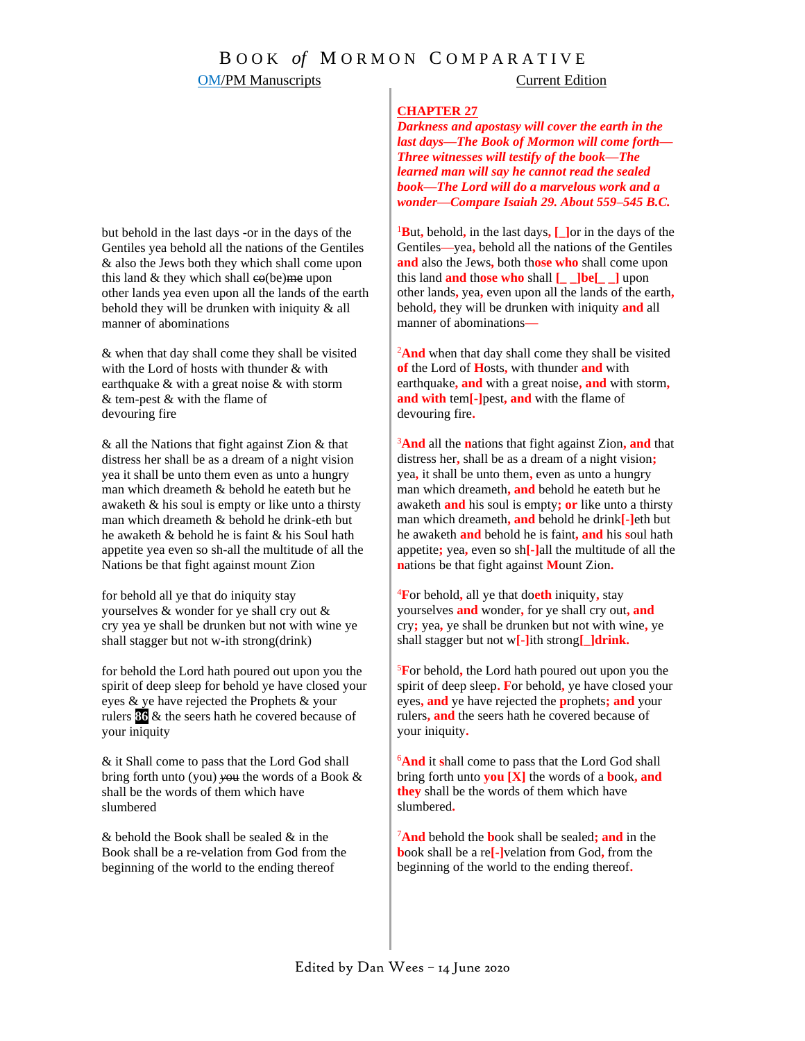# **OM/PM Manuscripts** Current Edition

### **CHAPTER 27**

*Darkness and apostasy will cover the earth in the last days—The Book of Mormon will come forth— Three witnesses will testify of the book—The learned man will say he cannot read the sealed book—The Lord will do a marvelous work and a wonder—Compare Isaiah 29. About 559–545 B.C.*

<sup>1</sup>**B**ut**,** behold**,** in the last days**, [\_]**or in the days of the Gentiles**—**yea**,** behold all the nations of the Gentiles **and** also the Jews**,** both th**ose who** shall come upon this land **and** th**ose who** shall **[\_ \_]be[\_ \_]** upon other lands**,** yea**,** even upon all the lands of the earth**,** behold**,** they will be drunken with iniquity **and** all manner of abominations**—**

<sup>2</sup>And when that day shall come they shall be visited **of** the Lord of **H**osts**,** with thunder **and** with earthquake**, and** with a great noise**, and** with storm**, and with** tem**[-]**pest**, and** with the flame of devouring fire**.**

<sup>3</sup>**And** all the **n**ations that fight against Zion**, and** that distress her**,** shall be as a dream of a night vision**;** yea**,** it shall be unto them**,** even as unto a hungry man which dreameth**, and** behold he eateth but he awaketh **and** his soul is empty**; or** like unto a thirsty man which dreameth**, and** behold he drink**[-]**eth but he awaketh **and** behold he is faint**, and** his **s**oul hath appetite**;** yea**,** even so sh**[-]**all the multitude of all the **n**ations be that fight against **M**ount Zion**.**

<sup>4</sup>**F**or behold**,** all ye that do**eth** iniquity**,** stay yourselves **and** wonder**,** for ye shall cry out**, and** cry**;** yea**,** ye shall be drunken but not with wine**,** ye shall stagger but not w**[-]**ith strong**[\_]drink.**

<sup>5</sup>**F**or behold**,** the Lord hath poured out upon you the spirit of deep sleep**. F**or behold**,** ye have closed your eyes**, and** ye have rejected the **p**rophets**; and** your rulers**, and** the seers hath he covered because of your iniquity**.**

<sup>6</sup>**And** it **s**hall come to pass that the Lord God shall bring forth unto **you [X]** the words of a **b**ook**, and they** shall be the words of them which have slumbered**.**

<sup>7</sup>**And** behold the **b**ook shall be sealed**; and** in the **b**ook shall be a re**[-]**velation from God**,** from the beginning of the world to the ending thereof**.**

but behold in the last days -or in the days of the Gentiles yea behold all the nations of the Gentiles & also the Jews both they which shall come upon this land & they which shall co(be)me upon other lands yea even upon all the lands of the earth behold they will be drunken with iniquity & all manner of abominations

& when that day shall come they shall be visited with the Lord of hosts with thunder & with earthquake & with a great noise & with storm & tem-pest & with the flame of devouring fire

& all the Nations that fight against Zion & that distress her shall be as a dream of a night vision yea it shall be unto them even as unto a hungry man which dreameth & behold he eateth but he awaketh & his soul is empty or like unto a thirsty man which dreameth & behold he drink-eth but he awaketh & behold he is faint & his Soul hath appetite yea even so sh-all the multitude of all the Nations be that fight against mount Zion

for behold all ye that do iniquity stay yourselves & wonder for ye shall cry out & cry yea ye shall be drunken but not with wine ye shall stagger but not w-ith strong(drink)

for behold the Lord hath poured out upon you the spirit of deep sleep for behold ye have closed your eyes & ye have rejected the Prophets & your rulers **86** & the seers hath he covered because of your iniquity

& it Shall come to pass that the Lord God shall bring forth unto (you) *y*ou the words of a Book & shall be the words of them which have slumbered

& behold the Book shall be sealed & in the Book shall be a re-velation from God from the beginning of the world to the ending thereof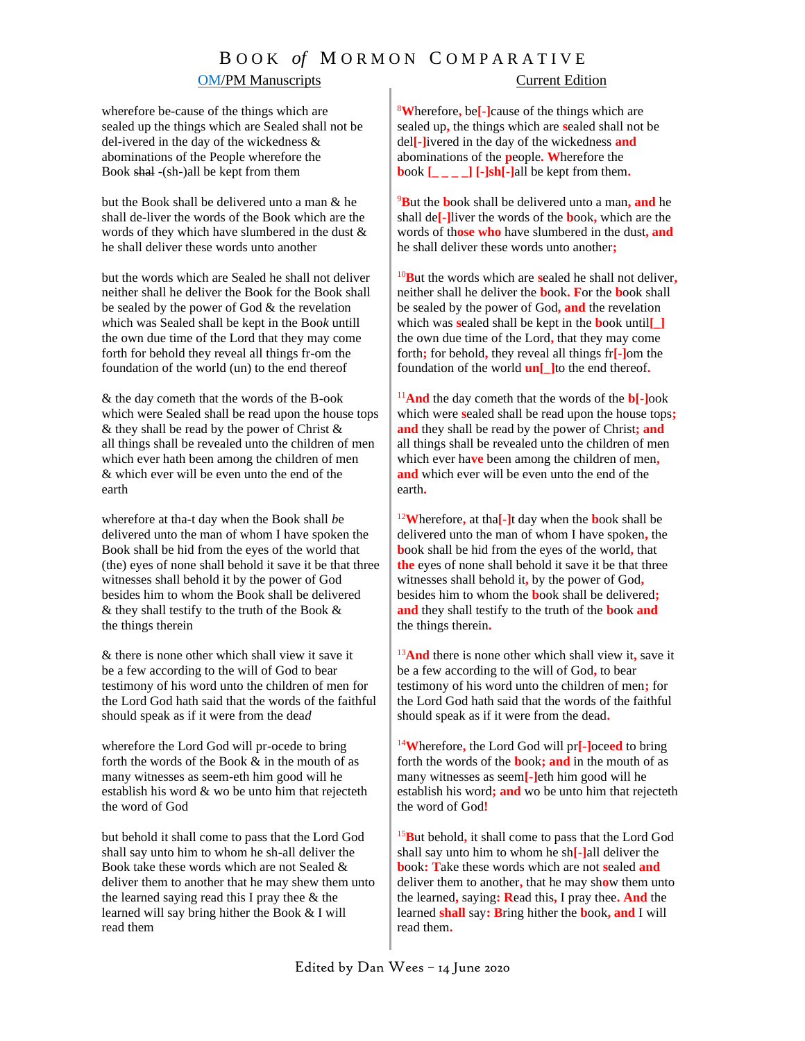# B O O K *of* M O R M O N C O M P A R A T I V E

# OM/PM Manuscripts Current Edition

wherefore be-cause of the things which are sealed up the things which are Sealed shall not be del-ivered in the day of the wickedness & abominations of the People wherefore the Book shal -(sh-)all be kept from them

but the Book shall be delivered unto a man & he shall de-liver the words of the Book which are the words of they which have slumbered in the dust & he shall deliver these words unto another

but the words which are Sealed he shall not deliver neither shall he deliver the Book for the Book shall be sealed by the power of God & the revelation *w*hich was Sealed shall be kept in the Boo*k* untill the own due time of the Lord that they may come forth for behold they reveal all things fr-om the foundation of the world (un) to the end thereof

& the day cometh that the words of the B-ook which were Sealed shall be read upon the house tops & they shall be read by the power of Christ & all things shall be revealed unto the children of men which ever hath been among the children of men & which ever will be even unto the end of the earth

wherefore at tha-t day when the Book shall *b*e delivered unto the man of whom I have spoken the Book shall be hid from the eyes of the world that (the) eyes of none shall behold it save it be that three witnesses shall behold it by the power of God besides him to whom the Book shall be delivered & they shall testify to the truth of the Book & the things therein

& there is none other which shall view it save it be a few according to the will of God to bear testimony of his word unto the children of men for the Lord God hath said that the words of the faithful should speak as if it were from the dea*d*

wherefore the Lord God will pr-ocede to bring forth the words of the Book & in the mouth of as many witnesses as seem-eth him good will he establish his word & wo be unto him that rejecteth the word of God

but behold it shall come to pass that the Lord God shall say unto him to whom he sh-all deliver the Book take these words which are not Sealed & deliver them to another that he may shew them unto the learned saying read this I pray thee & the learned will say bring hither the Book & I will read them

<sup>8</sup>**W**herefore**,** be**[-]**cause of the things which are sealed up**,** the things which are **s**ealed shall not be del**[-]**ivered in the day of the wickedness **and** abominations of the **p**eople**. W**herefore the **b**ook  $\begin{bmatrix} \_ & \_ \end{bmatrix}$  [ $\cdot$ ]sh[ $\cdot$ ]all be kept from them.

<sup>9</sup>**B**ut the **b**ook shall be delivered unto a man**, and** he shall de**[-]**liver the words of the **b**ook**,** which are the words of th**ose who** have slumbered in the dust**, and**  he shall deliver these words unto another**;** 

<sup>10</sup>**B**ut the words which are **s**ealed he shall not deliver**,** neither shall he deliver the **b**ook**. F**or the **b**ook shall be sealed by the power of God**, and** the revelation which was **s**ealed shall be kept in the **b**ook until**[\_]** the own due time of the Lord**,** that they may come forth**;** for behold**,** they reveal all things fr**[-]**om the foundation of the world **un[\_]**to the end thereof**.**

<sup>11</sup>**And** the day cometh that the words of the **b[-]**ook which were **s**ealed shall be read upon the house tops**; and** they shall be read by the power of Christ**; and** all things shall be revealed unto the children of men which ever ha**ve** been among the children of men**, and** which ever will be even unto the end of the earth**.** 

<sup>12</sup>**W**herefore**,** at tha**[-]**t day when the **b**ook shall be delivered unto the man of whom I have spoken**,** the **b**ook shall be hid from the eyes of the world**,** that **the** eyes of none shall behold it save it be that three witnesses shall behold it**,** by the power of God**,** besides him to whom the **b**ook shall be delivered**; and** they shall testify to the truth of the **b**ook **and** the things therein**.**

<sup>13</sup>**And** there is none other which shall view it**,** save it be a few according to the will of God**,** to bear testimony of his word unto the children of men**;** for the Lord God hath said that the words of the faithful should speak as if it were from the dead**.**

<sup>14</sup>**W**herefore**,** the Lord God will pr**[-]**oce**ed** to bring forth the words of the **b**ook**; and** in the mouth of as many witnesses as seem**[-]**eth him good will he establish his word**; and** wo be unto him that rejecteth the word of God**!**

<sup>15</sup>**B**ut behold**,** it shall come to pass that the Lord God shall say unto him to whom he sh**[-]**all deliver the **b**ook**: T**ake these words which are not **s**ealed **and** deliver them to another**,** that he may sh**o**w them unto the learned**,** saying**: R**ead this**,** I pray thee**. And** the learned **shall** say**: B**ring hither the **b**ook**, and** I will read them**.**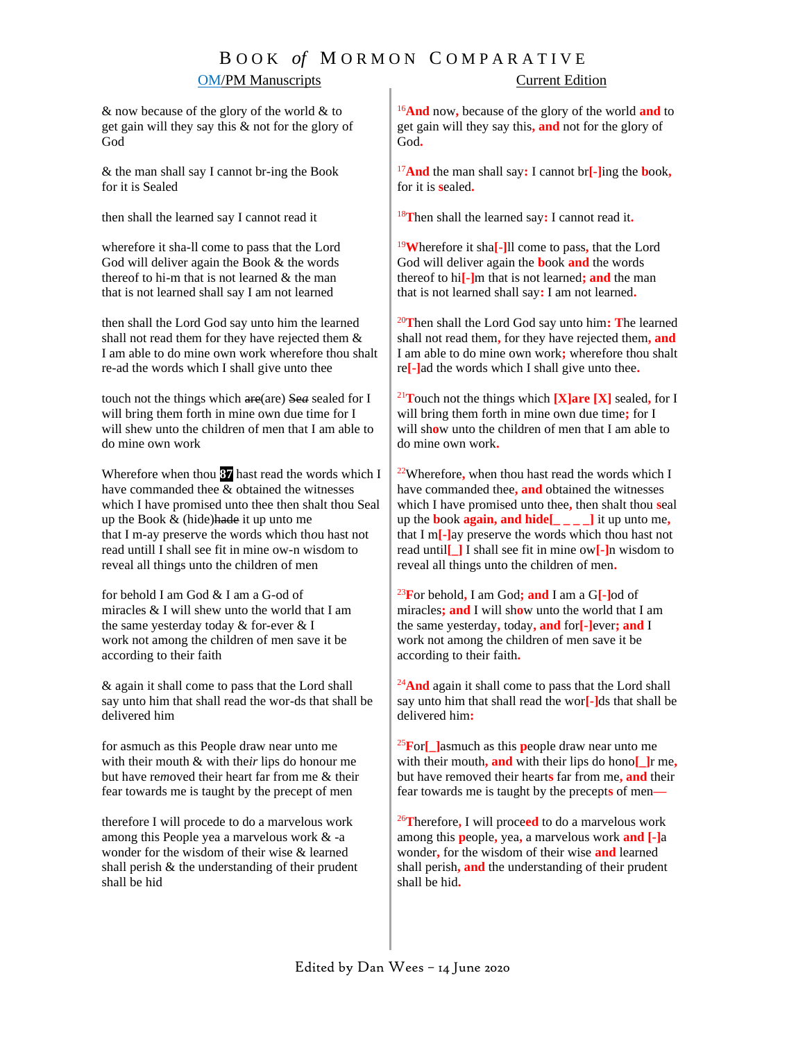# B O O K *of* M O R M O N C O M P A R A T I V E OM/PM Manuscripts Current Edition

& now because of the glory of the world & to get gain will they say this & not for the glory of God

& the man shall say I cannot br-ing the Book for it is Sealed

then shall the learned say I cannot read it

wherefore it sha-ll come to pass that the Lord God will deliver again the Book & the words thereof to hi-m that is not learned & the man that is not learned shall say I am not learned

then shall the Lord God say unto him the learned shall not read them for they have rejected them & I am able to do mine own work wherefore thou shalt re-ad the words which I shall give unto thee

touch not the things which are(are) Se*a* sealed for I will bring them forth in mine own due time for I will shew unto the children of men that I am able to do mine own work

Wherefore when thou **87** hast read the words which I have commanded thee & obtained the witnesses which I have promised unto thee then shalt thou Seal up the Book  $&$  (hide) hade it up unto me that I m-ay preserve the words which th*o*u hast not read untill I shall see fit in mine ow-n wisdom to reveal all things unto the children of men

for behold I am God & I am a G-od of miracles & I will shew unto the world that I am the same yesterday today & for-ever & I work not among the children of men save it be according to their faith

& again it shall come to pass that the Lord shall say unto him that shall read the wor-ds that shall be delivered him

for asmuch as this People draw near unto me with their mouth & with the*ir* lips do honour me but have re*m*oved their heart far from me & their fear towards me is taught by the precept of men

therefore I will procede to do a marvelous work among this People yea a marvelous work & -a wonder for the wisdom of their wise & learned shall perish & the understanding of their prudent shall be hid

<sup>16</sup>**And** now**,** because of the glory of the world **and** to get gain will they say this**, and** not for the glory of God**.**

<sup>17</sup>**And** the man shall say**:** I cannot br**[-]**ing the **b**ook**,** for it is **s**ealed**.**

<sup>18</sup>**T**hen shall the learned say**:** I cannot read it**.**

<sup>19</sup>**W**herefore it sha**[-]**ll come to pass**,** that the Lord God will deliver again the **b**ook **and** the words thereof to hi**[-]**m that is not learned**; and** the man that is not learned shall say**:** I am not learned**.**

<sup>20</sup>**T**hen shall the Lord God say unto him**: T**he learned shall not read them**,** for they have rejected them**, and**  I am able to do mine own work**;** wherefore thou shalt re**[-]**ad the words which I shall give unto thee**.**

<sup>21</sup>**T**ouch not the things which **[X]are [X]** sealed**,** for I will bring them forth in mine own due time**;** for I will sh**o**w unto the children of men that I am able to do mine own work**.** 

<sup>22</sup>Wherefore**,** when thou hast read the words which I have commanded thee**, and** obtained the witnesses which I have promised unto thee**,** then shalt thou **s**eal up the **b**ook **again, and hide[\_ \_ \_ \_]** it up unto me**,** that I m**[-]**ay preserve the words which thou hast not read until**[\_]** I shall see fit in mine ow**[-]**n wisdom to reveal all things unto the children of men**.**

<sup>23</sup>**F**or behold**,** I am God**; and** I am a G**[-]**od of miracles**; and** I will sh**o**w unto the world that I am the same yesterday**,** today**, and** for**[-]**ever**; and** I work not among the children of men save it be according to their faith**.**

<sup>24</sup>And again it shall come to pass that the Lord shall say unto him that shall read the wor**[-]**ds that shall be delivered him**:**

<sup>25</sup>**F**or**[\_]**asmuch as this **p**eople draw near unto me with their mouth**, and** with their lips do hono**[\_]**r me**,** but have removed their heart**s** far from me**, and** their fear towards me is taught by the precept**s** of men**—**

<sup>26</sup>**T**herefore**,** I will proce**ed** to do a marvelous work among this **p**eople**,** yea**,** a marvelous work **and [-]**a wonder**,** for the wisdom of their wise **and** learned shall perish**, and** the understanding of their prudent shall be hid**.**